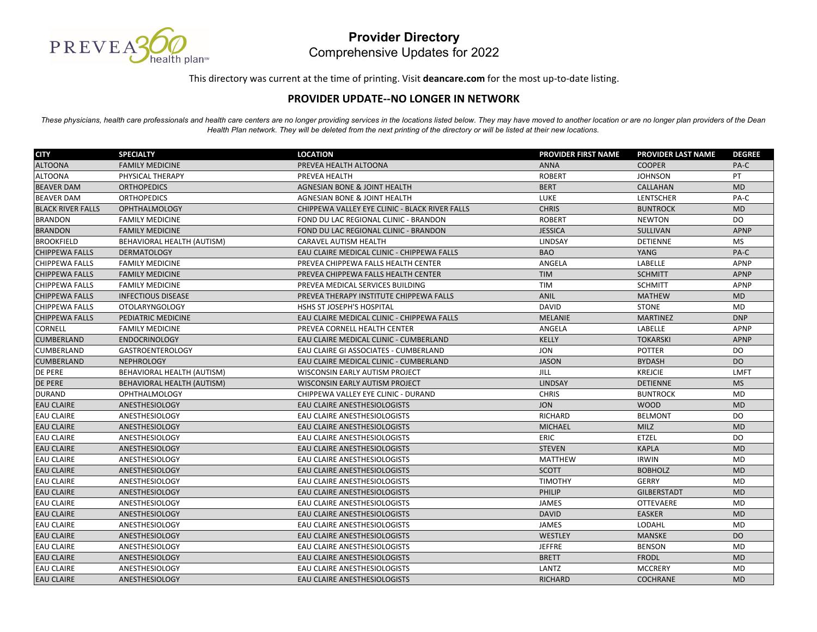

This directory was current at the time of printing. Visit **deancare.com** for the most up‐to‐date listing.

## **PROVIDER UPDATE‐‐NO LONGER IN NETWORK**

*These physicians, health care professionals and health care centers are no longer providing services in the locations listed below. They may have moved to another location or are no longer plan providers of the Dean Health Plan network. They will be deleted from the next printing of the directory or will be listed at their new locations.*

| <b>CITY</b>              | <b>SPECIALTY</b>           | <b>LOCATION</b>                                | <b>PROVIDER FIRST NAME</b> | <b>PROVIDER LAST NAME</b> | <b>DEGREE</b> |
|--------------------------|----------------------------|------------------------------------------------|----------------------------|---------------------------|---------------|
| <b>ALTOONA</b>           | <b>FAMILY MEDICINE</b>     | PREVEA HEALTH ALTOONA                          | <b>ANNA</b>                | <b>COOPER</b>             | PA-C          |
| <b>ALTOONA</b>           | PHYSICAL THERAPY           | PREVEA HEALTH                                  | <b>ROBERT</b>              | <b>JOHNSON</b>            | PT            |
| <b>BEAVER DAM</b>        | <b>ORTHOPEDICS</b>         | <b>AGNESIAN BONE &amp; JOINT HEALTH</b>        | <b>BERT</b>                | CALLAHAN                  | <b>MD</b>     |
| <b>BEAVER DAM</b>        | <b>ORTHOPEDICS</b>         | <b>AGNESIAN BONE &amp; JOINT HEALTH</b>        | LUKE                       | <b>LENTSCHER</b>          | PA-C          |
| <b>BLACK RIVER FALLS</b> | <b>OPHTHALMOLOGY</b>       | CHIPPEWA VALLEY EYE CLINIC - BLACK RIVER FALLS | <b>CHRIS</b>               | <b>BUNTROCK</b>           | <b>MD</b>     |
| <b>BRANDON</b>           | <b>FAMILY MEDICINE</b>     | FOND DU LAC REGIONAL CLINIC - BRANDON          | <b>ROBERT</b>              | <b>NEWTON</b>             | <b>DO</b>     |
| <b>BRANDON</b>           | <b>FAMILY MEDICINE</b>     | FOND DU LAC REGIONAL CLINIC - BRANDON          | <b>JESSICA</b>             | SULLIVAN                  | <b>APNP</b>   |
| <b>BROOKFIELD</b>        | BEHAVIORAL HEALTH (AUTISM) | <b>CARAVEL AUTISM HEALTH</b>                   | LINDSAY                    | <b>DETIENNE</b>           | <b>MS</b>     |
| <b>CHIPPEWA FALLS</b>    | <b>DERMATOLOGY</b>         | EAU CLAIRE MEDICAL CLINIC - CHIPPEWA FALLS     | <b>BAO</b>                 | YANG                      | PA-C          |
| <b>CHIPPEWA FALLS</b>    | <b>FAMILY MEDICINE</b>     | PREVEA CHIPPEWA FALLS HEALTH CENTER            | ANGELA                     | <b>LABELLE</b>            | <b>APNP</b>   |
| <b>CHIPPEWA FALLS</b>    | <b>FAMILY MEDICINE</b>     | PREVEA CHIPPEWA FALLS HEALTH CENTER            | <b>TIM</b>                 | <b>SCHMITT</b>            | <b>APNP</b>   |
| <b>CHIPPEWA FALLS</b>    | <b>FAMILY MEDICINE</b>     | PREVEA MEDICAL SERVICES BUILDING               | <b>TIM</b>                 | <b>SCHMITT</b>            | APNP          |
| <b>CHIPPEWA FALLS</b>    | <b>INFECTIOUS DISEASE</b>  | PREVEA THERAPY INSTITUTE CHIPPEWA FALLS        | <b>ANIL</b>                | <b>MATHEW</b>             | <b>MD</b>     |
| <b>CHIPPEWA FALLS</b>    | <b>OTOLARYNGOLOGY</b>      | HSHS ST JOSEPH'S HOSPITAL                      | <b>DAVID</b>               | <b>STONE</b>              | <b>MD</b>     |
| <b>CHIPPEWA FALLS</b>    | PEDIATRIC MEDICINE         | EAU CLAIRE MEDICAL CLINIC - CHIPPEWA FALLS     | <b>MELANIE</b>             | <b>MARTINEZ</b>           | <b>DNP</b>    |
| CORNELL                  | <b>FAMILY MEDICINE</b>     | PREVEA CORNELL HEALTH CENTER                   | ANGELA                     | LABELLE                   | <b>APNP</b>   |
| <b>CUMBERLAND</b>        | <b>ENDOCRINOLOGY</b>       | EAU CLAIRE MEDICAL CLINIC - CUMBERLAND         | <b>KELLY</b>               | <b>TOKARSKI</b>           | <b>APNP</b>   |
| <b>CUMBERLAND</b>        | <b>GASTROENTEROLOGY</b>    | EAU CLAIRE GI ASSOCIATES - CUMBERLAND          | <b>JON</b>                 | <b>POTTER</b>             | DO            |
| <b>CUMBERLAND</b>        | <b>NEPHROLOGY</b>          | EAU CLAIRE MEDICAL CLINIC - CUMBERLAND         | <b>JASON</b>               | <b>BYDASH</b>             | <b>DO</b>     |
| <b>DE PERE</b>           | BEHAVIORAL HEALTH (AUTISM) | WISCONSIN EARLY AUTISM PROJECT                 | JILL                       | <b>KREJCIE</b>            | <b>LMFT</b>   |
| <b>DE PERE</b>           | BEHAVIORAL HEALTH (AUTISM) | WISCONSIN EARLY AUTISM PROJECT                 | LINDSAY                    | <b>DETIENNE</b>           | <b>MS</b>     |
| <b>DURAND</b>            | <b>OPHTHALMOLOGY</b>       | CHIPPEWA VALLEY EYE CLINIC - DURAND            | <b>CHRIS</b>               | <b>BUNTROCK</b>           | <b>MD</b>     |
| <b>EAU CLAIRE</b>        | ANESTHESIOLOGY             | EAU CLAIRE ANESTHESIOLOGISTS                   | <b>JON</b>                 | <b>WOOD</b>               | <b>MD</b>     |
| <b>EAU CLAIRE</b>        | ANESTHESIOLOGY             | EAU CLAIRE ANESTHESIOLOGISTS                   | <b>RICHARD</b>             | <b>BELMONT</b>            | DO            |
| <b>EAU CLAIRE</b>        | <b>ANESTHESIOLOGY</b>      | EAU CLAIRE ANESTHESIOLOGISTS                   | <b>MICHAEL</b>             | MILZ                      | <b>MD</b>     |
| <b>EAU CLAIRE</b>        | ANESTHESIOLOGY             | EAU CLAIRE ANESTHESIOLOGISTS                   | ERIC                       | <b>ETZEL</b>              | DO            |
| <b>EAU CLAIRE</b>        | ANESTHESIOLOGY             | EAU CLAIRE ANESTHESIOLOGISTS                   | <b>STEVEN</b>              | <b>KAPLA</b>              | <b>MD</b>     |
| <b>EAU CLAIRE</b>        | ANESTHESIOLOGY             | EAU CLAIRE ANESTHESIOLOGISTS                   | <b>MATTHEW</b>             | <b>IRWIN</b>              | <b>MD</b>     |
| <b>EAU CLAIRE</b>        | <b>ANESTHESIOLOGY</b>      | <b>EAU CLAIRE ANESTHESIOLOGISTS</b>            | <b>SCOTT</b>               | <b>BOBHOLZ</b>            | <b>MD</b>     |
| <b>EAU CLAIRE</b>        | ANESTHESIOLOGY             | EAU CLAIRE ANESTHESIOLOGISTS                   | <b>TIMOTHY</b>             | <b>GERRY</b>              | <b>MD</b>     |
| <b>EAU CLAIRE</b>        | ANESTHESIOLOGY             | EAU CLAIRE ANESTHESIOLOGISTS                   | PHILIP                     | <b>GILBERSTADT</b>        | <b>MD</b>     |
| <b>EAU CLAIRE</b>        | ANESTHESIOLOGY             | EAU CLAIRE ANESTHESIOLOGISTS                   | <b>JAMES</b>               | <b>OTTEVAERE</b>          | <b>MD</b>     |
| <b>EAU CLAIRE</b>        | <b>ANESTHESIOLOGY</b>      | <b>EAU CLAIRE ANESTHESIOLOGISTS</b>            | <b>DAVID</b>               | <b>EASKER</b>             | <b>MD</b>     |
| <b>EAU CLAIRE</b>        | ANESTHESIOLOGY             | EAU CLAIRE ANESTHESIOLOGISTS                   | <b>JAMES</b>               | LODAHL                    | MD            |
| <b>EAU CLAIRE</b>        | ANESTHESIOLOGY             | EAU CLAIRE ANESTHESIOLOGISTS                   | WESTLEY                    | <b>MANSKE</b>             | <b>DO</b>     |
| <b>EAU CLAIRE</b>        | <b>ANESTHESIOLOGY</b>      | EAU CLAIRE ANESTHESIOLOGISTS                   | <b>JEFFRE</b>              | <b>BENSON</b>             | <b>MD</b>     |
| <b>EAU CLAIRE</b>        | ANESTHESIOLOGY             | EAU CLAIRE ANESTHESIOLOGISTS                   | <b>BRETT</b>               | <b>FRODL</b>              | <b>MD</b>     |
| <b>EAU CLAIRE</b>        | <b>ANESTHESIOLOGY</b>      | EAU CLAIRE ANESTHESIOLOGISTS                   | LANTZ                      | <b>MCCRERY</b>            | <b>MD</b>     |
| <b>EAU CLAIRE</b>        | <b>ANESTHESIOLOGY</b>      | <b>EAU CLAIRE ANESTHESIOLOGISTS</b>            | <b>RICHARD</b>             | <b>COCHRANE</b>           | <b>MD</b>     |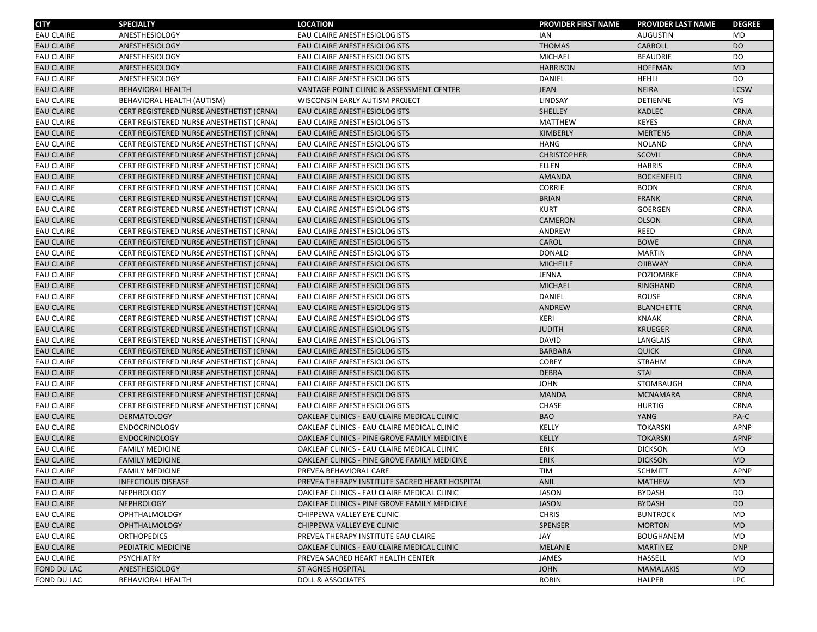| <b>CITY</b>        | <b>SPECIALTY</b>                         | <b>LOCATION</b>                                | <b>PROVIDER FIRST NAME</b> | <b>PROVIDER LAST NAME</b> | <b>DEGREE</b> |
|--------------------|------------------------------------------|------------------------------------------------|----------------------------|---------------------------|---------------|
| <b>EAU CLAIRE</b>  | ANESTHESIOLOGY                           | EAU CLAIRE ANESTHESIOLOGISTS                   | <b>IAN</b>                 | <b>AUGUSTIN</b>           | <b>MD</b>     |
| <b>EAU CLAIRE</b>  | ANESTHESIOLOGY                           | EAU CLAIRE ANESTHESIOLOGISTS                   | <b>THOMAS</b>              | CARROLL                   | DO            |
| <b>EAU CLAIRE</b>  | ANESTHESIOLOGY                           | EAU CLAIRE ANESTHESIOLOGISTS                   | <b>MICHAEL</b>             | <b>BEAUDRIE</b>           | <b>DO</b>     |
| <b>EAU CLAIRE</b>  | ANESTHESIOLOGY                           | EAU CLAIRE ANESTHESIOLOGISTS                   | <b>HARRISON</b>            | <b>HOFFMAN</b>            | <b>MD</b>     |
| <b>EAU CLAIRE</b>  | ANESTHESIOLOGY                           | EAU CLAIRE ANESTHESIOLOGISTS                   | DANIEL                     | HEHLI                     | DO            |
| <b>EAU CLAIRE</b>  | <b>BEHAVIORAL HEALTH</b>                 | VANTAGE POINT CLINIC & ASSESSMENT CENTER       | <b>JEAN</b>                | <b>NEIRA</b>              | <b>LCSW</b>   |
| <b>EAU CLAIRE</b>  | BEHAVIORAL HEALTH (AUTISM)               | WISCONSIN EARLY AUTISM PROJECT                 | LINDSAY                    | <b>DETIENNE</b>           | <b>MS</b>     |
| <b>EAU CLAIRE</b>  | CERT REGISTERED NURSE ANESTHETIST (CRNA) | EAU CLAIRE ANESTHESIOLOGISTS                   | SHELLEY                    | <b>KADLEC</b>             | <b>CRNA</b>   |
| <b>EAU CLAIRE</b>  | CERT REGISTERED NURSE ANESTHETIST (CRNA) | EAU CLAIRE ANESTHESIOLOGISTS                   | <b>MATTHEW</b>             | <b>KEYES</b>              | <b>CRNA</b>   |
| <b>EAU CLAIRE</b>  | CERT REGISTERED NURSE ANESTHETIST (CRNA) | EAU CLAIRE ANESTHESIOLOGISTS                   | <b>KIMBERLY</b>            | <b>MERTENS</b>            | <b>CRNA</b>   |
| <b>EAU CLAIRE</b>  | CERT REGISTERED NURSE ANESTHETIST (CRNA) | EAU CLAIRE ANESTHESIOLOGISTS                   | <b>HANG</b>                | <b>NOLAND</b>             | <b>CRNA</b>   |
| <b>EAU CLAIRE</b>  | CERT REGISTERED NURSE ANESTHETIST (CRNA) | EAU CLAIRE ANESTHESIOLOGISTS                   | <b>CHRISTOPHER</b>         | <b>SCOVIL</b>             | <b>CRNA</b>   |
| <b>EAU CLAIRE</b>  | CERT REGISTERED NURSE ANESTHETIST (CRNA) | EAU CLAIRE ANESTHESIOLOGISTS                   | <b>ELLEN</b>               | <b>HARRIS</b>             | <b>CRNA</b>   |
| <b>EAU CLAIRE</b>  | CERT REGISTERED NURSE ANESTHETIST (CRNA) | EAU CLAIRE ANESTHESIOLOGISTS                   | AMANDA                     | <b>BOCKENFELD</b>         | <b>CRNA</b>   |
| <b>EAU CLAIRE</b>  | CERT REGISTERED NURSE ANESTHETIST (CRNA) | EAU CLAIRE ANESTHESIOLOGISTS                   | <b>CORRIE</b>              | <b>BOON</b>               | <b>CRNA</b>   |
| <b>EAU CLAIRE</b>  | CERT REGISTERED NURSE ANESTHETIST (CRNA) | EAU CLAIRE ANESTHESIOLOGISTS                   | <b>BRIAN</b>               | <b>FRANK</b>              | <b>CRNA</b>   |
| <b>EAU CLAIRE</b>  | CERT REGISTERED NURSE ANESTHETIST (CRNA) | EAU CLAIRE ANESTHESIOLOGISTS                   | <b>KURT</b>                | <b>GOERGEN</b>            | <b>CRNA</b>   |
| <b>EAU CLAIRE</b>  | CERT REGISTERED NURSE ANESTHETIST (CRNA) | EAU CLAIRE ANESTHESIOLOGISTS                   | <b>CAMERON</b>             | <b>OLSON</b>              | <b>CRNA</b>   |
| <b>EAU CLAIRE</b>  | CERT REGISTERED NURSE ANESTHETIST (CRNA) | EAU CLAIRE ANESTHESIOLOGISTS                   | ANDREW                     | REED                      | <b>CRNA</b>   |
| <b>EAU CLAIRE</b>  | CERT REGISTERED NURSE ANESTHETIST (CRNA) | EAU CLAIRE ANESTHESIOLOGISTS                   | CAROL                      | <b>BOWE</b>               | <b>CRNA</b>   |
| <b>EAU CLAIRE</b>  | CERT REGISTERED NURSE ANESTHETIST (CRNA) | EAU CLAIRE ANESTHESIOLOGISTS                   | <b>DONALD</b>              | <b>MARTIN</b>             | <b>CRNA</b>   |
| <b>EAU CLAIRE</b>  | CERT REGISTERED NURSE ANESTHETIST (CRNA) | EAU CLAIRE ANESTHESIOLOGISTS                   | <b>MICHELLE</b>            | <b>OJIBWAY</b>            | <b>CRNA</b>   |
| <b>EAU CLAIRE</b>  | CERT REGISTERED NURSE ANESTHETIST (CRNA) | EAU CLAIRE ANESTHESIOLOGISTS                   | JENNA                      | POZIOMBKE                 | <b>CRNA</b>   |
| <b>EAU CLAIRE</b>  | CERT REGISTERED NURSE ANESTHETIST (CRNA) | EAU CLAIRE ANESTHESIOLOGISTS                   | <b>MICHAEL</b>             | <b>RINGHAND</b>           | <b>CRNA</b>   |
| <b>EAU CLAIRE</b>  | CERT REGISTERED NURSE ANESTHETIST (CRNA) | EAU CLAIRE ANESTHESIOLOGISTS                   | DANIEL                     | <b>ROUSE</b>              | <b>CRNA</b>   |
| <b>EAU CLAIRE</b>  | CERT REGISTERED NURSE ANESTHETIST (CRNA) | EAU CLAIRE ANESTHESIOLOGISTS                   | <b>ANDREW</b>              | <b>BLANCHETTE</b>         | <b>CRNA</b>   |
| <b>EAU CLAIRE</b>  | CERT REGISTERED NURSE ANESTHETIST (CRNA) | EAU CLAIRE ANESTHESIOLOGISTS                   | KERI                       | <b>KNAAK</b>              | <b>CRNA</b>   |
| <b>EAU CLAIRE</b>  | CERT REGISTERED NURSE ANESTHETIST (CRNA) | EAU CLAIRE ANESTHESIOLOGISTS                   | <b>JUDITH</b>              | <b>KRUEGER</b>            | <b>CRNA</b>   |
| <b>EAU CLAIRE</b>  | CERT REGISTERED NURSE ANESTHETIST (CRNA) | EAU CLAIRE ANESTHESIOLOGISTS                   | DAVID                      | LANGLAIS                  | <b>CRNA</b>   |
| <b>EAU CLAIRE</b>  | CERT REGISTERED NURSE ANESTHETIST (CRNA) | EAU CLAIRE ANESTHESIOLOGISTS                   | <b>BARBARA</b>             | <b>QUICK</b>              | <b>CRNA</b>   |
| <b>EAU CLAIRE</b>  | CERT REGISTERED NURSE ANESTHETIST (CRNA) | EAU CLAIRE ANESTHESIOLOGISTS                   | <b>COREY</b>               | <b>STRAHM</b>             | <b>CRNA</b>   |
| <b>EAU CLAIRE</b>  | CERT REGISTERED NURSE ANESTHETIST (CRNA) | EAU CLAIRE ANESTHESIOLOGISTS                   | <b>DEBRA</b>               | <b>STAI</b>               | <b>CRNA</b>   |
| <b>EAU CLAIRE</b>  | CERT REGISTERED NURSE ANESTHETIST (CRNA) | EAU CLAIRE ANESTHESIOLOGISTS                   | <b>JOHN</b>                | <b>STOMBAUGH</b>          | <b>CRNA</b>   |
| <b>EAU CLAIRE</b>  | CERT REGISTERED NURSE ANESTHETIST (CRNA) | EAU CLAIRE ANESTHESIOLOGISTS                   | <b>MANDA</b>               | <b>MCNAMARA</b>           | <b>CRNA</b>   |
| <b>EAU CLAIRE</b>  | CERT REGISTERED NURSE ANESTHETIST (CRNA) | EAU CLAIRE ANESTHESIOLOGISTS                   | <b>CHASE</b>               | <b>HURTIG</b>             | <b>CRNA</b>   |
| <b>EAU CLAIRE</b>  | <b>DERMATOLOGY</b>                       | OAKLEAF CLINICS - EAU CLAIRE MEDICAL CLINIC    | <b>BAO</b>                 | YANG                      | PA-C          |
| <b>EAU CLAIRE</b>  | <b>ENDOCRINOLOGY</b>                     | OAKLEAF CLINICS - EAU CLAIRE MEDICAL CLINIC    | KELLY                      | <b>TOKARSKI</b>           | APNP          |
| <b>EAU CLAIRE</b>  | <b>ENDOCRINOLOGY</b>                     | OAKLEAF CLINICS - PINE GROVE FAMILY MEDICINE   | <b>KELLY</b>               | <b>TOKARSKI</b>           | <b>APNP</b>   |
| <b>EAU CLAIRE</b>  | <b>FAMILY MEDICINE</b>                   | OAKLEAF CLINICS - EAU CLAIRE MEDICAL CLINIC    | <b>ERIK</b>                | <b>DICKSON</b>            | <b>MD</b>     |
| <b>EAU CLAIRE</b>  | <b>FAMILY MEDICINE</b>                   | OAKLEAF CLINICS - PINE GROVE FAMILY MEDICINE   | <b>ERIK</b>                | <b>DICKSON</b>            | <b>MD</b>     |
| <b>EAU CLAIRE</b>  | <b>FAMILY MEDICINE</b>                   | PREVEA BEHAVIORAL CARE                         | <b>TIM</b>                 | <b>SCHMITT</b>            | APNP          |
| <b>EAU CLAIRE</b>  | <b>INFECTIOUS DISEASE</b>                | PREVEA THERAPY INSTITUTE SACRED HEART HOSPITAL | $\mathsf{ANIL}$            | <b>MATHEW</b>             | $\sf MD$      |
| <b>EAU CLAIRE</b>  | NEPHROLOGY                               | OAKLEAF CLINICS - EAU CLAIRE MEDICAL CLINIC    | <b>JASON</b>               | <b>BYDASH</b>             | DO.           |
| <b>EAU CLAIRE</b>  | <b>NEPHROLOGY</b>                        | OAKLEAF CLINICS - PINE GROVE FAMILY MEDICINE   | <b>JASON</b>               | <b>BYDASH</b>             | DO            |
| <b>EAU CLAIRE</b>  | <b>OPHTHALMOLOGY</b>                     | CHIPPEWA VALLEY EYE CLINIC                     | <b>CHRIS</b>               | <b>BUNTROCK</b>           | MD            |
| <b>EAU CLAIRE</b>  | <b>OPHTHALMOLOGY</b>                     | CHIPPEWA VALLEY EYE CLINIC                     | <b>SPENSER</b>             | <b>MORTON</b>             | <b>MD</b>     |
| <b>EAU CLAIRE</b>  | <b>ORTHOPEDICS</b>                       | PREVEA THERAPY INSTITUTE EAU CLAIRE            | JAY                        | <b>BOUGHANEM</b>          | <b>MD</b>     |
| <b>EAU CLAIRE</b>  | PEDIATRIC MEDICINE                       | OAKLEAF CLINICS - EAU CLAIRE MEDICAL CLINIC    | <b>MELANIE</b>             | <b>MARTINEZ</b>           | <b>DNP</b>    |
| <b>EAU CLAIRE</b>  | <b>PSYCHIATRY</b>                        | PREVEA SACRED HEART HEALTH CENTER              | JAMES                      | HASSELL                   | <b>MD</b>     |
| <b>FOND DU LAC</b> | ANESTHESIOLOGY                           | ST AGNES HOSPITAL                              | <b>JOHN</b>                | <b>MAMALAKIS</b>          | <b>MD</b>     |
| FOND DU LAC        | BEHAVIORAL HEALTH                        | <b>DOLL &amp; ASSOCIATES</b>                   | <b>ROBIN</b>               | <b>HALPER</b>             | <b>LPC</b>    |
|                    |                                          |                                                |                            |                           |               |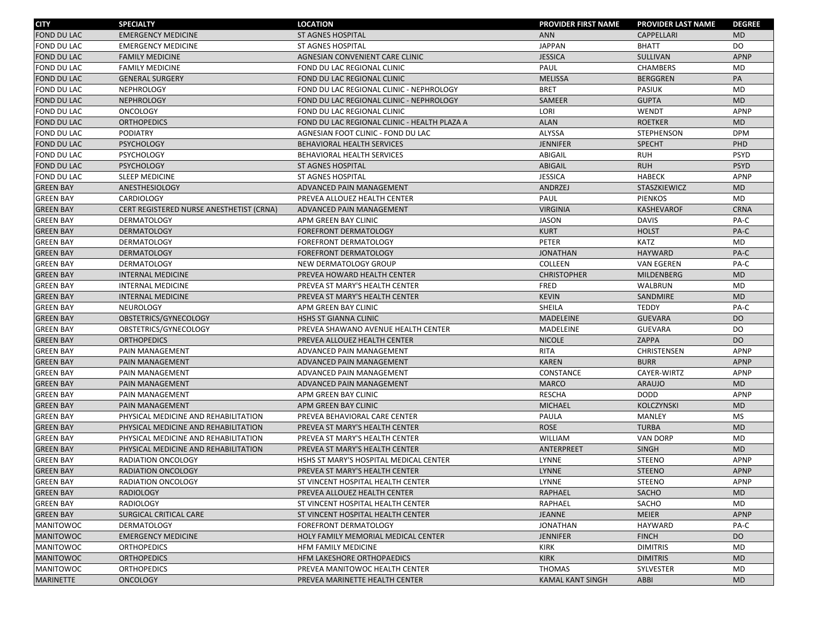| <b>CITY</b>        | <b>SPECIALTY</b>                         | <b>LOCATION</b>                              | <b>PROVIDER FIRST NAME</b> | <b>PROVIDER LAST NAME</b> | <b>DEGREE</b> |
|--------------------|------------------------------------------|----------------------------------------------|----------------------------|---------------------------|---------------|
| <b>FOND DU LAC</b> | <b>EMERGENCY MEDICINE</b>                | <b>ST AGNES HOSPITAL</b>                     | <b>ANN</b>                 | CAPPELLARI                | <b>MD</b>     |
| FOND DU LAC        | <b>EMERGENCY MEDICINE</b>                | <b>ST AGNES HOSPITAL</b>                     | <b>JAPPAN</b>              | <b>BHATT</b>              | DO            |
| FOND DU LAC        | <b>FAMILY MEDICINE</b>                   | AGNESIAN CONVENIENT CARE CLINIC              | <b>JESSICA</b>             | SULLIVAN                  | <b>APNP</b>   |
| FOND DU LAC        | <b>FAMILY MEDICINE</b>                   | FOND DU LAC REGIONAL CLINIC                  | PAUL                       | <b>CHAMBERS</b>           | <b>MD</b>     |
| <b>FOND DU LAC</b> | <b>GENERAL SURGERY</b>                   | FOND DU LAC REGIONAL CLINIC                  | <b>MELISSA</b>             | <b>BERGGREN</b>           | PA            |
| FOND DU LAC        | <b>NEPHROLOGY</b>                        | FOND DU LAC REGIONAL CLINIC - NEPHROLOGY     | <b>BRET</b>                | <b>PASIUK</b>             | <b>MD</b>     |
| FOND DU LAC        | <b>NEPHROLOGY</b>                        | FOND DU LAC REGIONAL CLINIC - NEPHROLOGY     | SAMEER                     | <b>GUPTA</b>              | <b>MD</b>     |
| <b>FOND DU LAC</b> | <b>ONCOLOGY</b>                          | FOND DU LAC REGIONAL CLINIC                  | LORI                       | WENDT                     | APNP          |
| FOND DU LAC        | <b>ORTHOPEDICS</b>                       | FOND DU LAC REGIONAL CLINIC - HEALTH PLAZA A | <b>ALAN</b>                | <b>ROETKER</b>            | <b>MD</b>     |
| <b>FOND DU LAC</b> | <b>PODIATRY</b>                          | AGNESIAN FOOT CLINIC - FOND DU LAC           | ALYSSA                     | STEPHENSON                | <b>DPM</b>    |
| FOND DU LAC        | <b>PSYCHOLOGY</b>                        | <b>BEHAVIORAL HEALTH SERVICES</b>            | <b>JENNIFER</b>            | <b>SPECHT</b>             | PHD           |
| <b>FOND DU LAC</b> | <b>PSYCHOLOGY</b>                        | BEHAVIORAL HEALTH SERVICES                   | ABIGAIL                    | <b>RUH</b>                | <b>PSYD</b>   |
| FOND DU LAC        | <b>PSYCHOLOGY</b>                        | ST AGNES HOSPITAL                            | <b>ABIGAIL</b>             | <b>RUH</b>                | <b>PSYD</b>   |
| <b>FOND DU LAC</b> | <b>SLEEP MEDICINE</b>                    | <b>ST AGNES HOSPITAL</b>                     | <b>JESSICA</b>             | HABECK                    | APNP          |
| <b>GREEN BAY</b>   | ANESTHESIOLOGY                           | ADVANCED PAIN MANAGEMENT                     | <b>ANDRZEJ</b>             | STASZKIEWICZ              | <b>MD</b>     |
| <b>GREEN BAY</b>   | <b>CARDIOLOGY</b>                        | PREVEA ALLOUEZ HEALTH CENTER                 | PAUL                       | <b>PIENKOS</b>            | <b>MD</b>     |
| <b>GREEN BAY</b>   | CERT REGISTERED NURSE ANESTHETIST (CRNA) | ADVANCED PAIN MANAGEMENT                     | <b>VIRGINIA</b>            | <b>KASHEVAROF</b>         | <b>CRNA</b>   |
| <b>GREEN BAY</b>   | <b>DERMATOLOGY</b>                       | APM GREEN BAY CLINIC                         | <b>JASON</b>               | <b>DAVIS</b>              | PA-C          |
| <b>GREEN BAY</b>   | <b>DERMATOLOGY</b>                       | <b>FOREFRONT DERMATOLOGY</b>                 | <b>KURT</b>                | <b>HOLST</b>              | PA-C          |
| <b>GREEN BAY</b>   | <b>DERMATOLOGY</b>                       | FOREFRONT DERMATOLOGY                        | PETER                      | <b>KATZ</b>               | <b>MD</b>     |
| <b>GREEN BAY</b>   | <b>DERMATOLOGY</b>                       | <b>FOREFRONT DERMATOLOGY</b>                 | <b>JONATHAN</b>            | <b>HAYWARD</b>            | PA-C          |
| <b>GREEN BAY</b>   | <b>DERMATOLOGY</b>                       | NEW DERMATOLOGY GROUP                        | COLLEEN                    | <b>VAN EGEREN</b>         | PA-C          |
| <b>GREEN BAY</b>   | <b>INTERNAL MEDICINE</b>                 | PREVEA HOWARD HEALTH CENTER                  | <b>CHRISTOPHER</b>         | MILDENBERG                | <b>MD</b>     |
| <b>GREEN BAY</b>   | <b>INTERNAL MEDICINE</b>                 | PREVEA ST MARY'S HEALTH CENTER               | <b>FRED</b>                | WALBRUN                   | <b>MD</b>     |
| <b>GREEN BAY</b>   | <b>INTERNAL MEDICINE</b>                 | PREVEA ST MARY'S HEALTH CENTER               | <b>KEVIN</b>               | SANDMIRE                  | <b>MD</b>     |
| <b>GREEN BAY</b>   | <b>NEUROLOGY</b>                         | APM GREEN BAY CLINIC                         | SHEILA                     | <b>TEDDY</b>              | PA-C          |
| <b>GREEN BAY</b>   | OBSTETRICS/GYNECOLOGY                    | <b>HSHS ST GIANNA CLINIC</b>                 | <b>MADELEINE</b>           | <b>GUEVARA</b>            | DO            |
| <b>GREEN BAY</b>   | OBSTETRICS/GYNECOLOGY                    | PREVEA SHAWANO AVENUE HEALTH CENTER          | MADELEINE                  | <b>GUEVARA</b>            | DO            |
| <b>GREEN BAY</b>   | <b>ORTHOPEDICS</b>                       | PREVEA ALLOUEZ HEALTH CENTER                 | <b>NICOLE</b>              | ZAPPA                     | DO            |
| <b>GREEN BAY</b>   | PAIN MANAGEMENT                          | ADVANCED PAIN MANAGEMENT                     | <b>RITA</b>                | CHRISTENSEN               | APNP          |
| <b>GREEN BAY</b>   | PAIN MANAGEMENT                          | ADVANCED PAIN MANAGEMENT                     | <b>KAREN</b>               | <b>BURR</b>               | <b>APNP</b>   |
| <b>GREEN BAY</b>   | PAIN MANAGEMENT                          | ADVANCED PAIN MANAGEMENT                     | CONSTANCE                  | CAYER-WIRTZ               | APNP          |
| <b>GREEN BAY</b>   | PAIN MANAGEMENT                          | ADVANCED PAIN MANAGEMENT                     | <b>MARCO</b>               | <b>ARAUJO</b>             | <b>MD</b>     |
| <b>GREEN BAY</b>   | PAIN MANAGEMENT                          | APM GREEN BAY CLINIC                         | <b>RESCHA</b>              | <b>DODD</b>               | APNP          |
| <b>GREEN BAY</b>   | PAIN MANAGEMENT                          | APM GREEN BAY CLINIC                         | <b>MICHAEL</b>             | <b>KOLCZYNSKI</b>         | <b>MD</b>     |
| <b>GREEN BAY</b>   | PHYSICAL MEDICINE AND REHABILITATION     | PREVEA BEHAVIORAL CARE CENTER                | PAULA                      | <b>MANLEY</b>             | <b>MS</b>     |
| <b>GREEN BAY</b>   | PHYSICAL MEDICINE AND REHABILITATION     | PREVEA ST MARY'S HEALTH CENTER               | <b>ROSE</b>                | <b>TURBA</b>              | <b>MD</b>     |
| <b>GREEN BAY</b>   | PHYSICAL MEDICINE AND REHABILITATION     | PREVEA ST MARY'S HEALTH CENTER               | <b>WILLIAM</b>             | <b>VAN DORP</b>           | <b>MD</b>     |
| <b>GREEN BAY</b>   | PHYSICAL MEDICINE AND REHABILITATION     | PREVEA ST MARY'S HEALTH CENTER               | ANTERPREET                 | <b>SINGH</b>              | <b>MD</b>     |
| <b>GREEN BAY</b>   | <b>RADIATION ONCOLOGY</b>                | HSHS ST MARY'S HOSPITAL MEDICAL CENTER       | LYNNE                      | <b>STEENO</b>             | APNP          |
| <b>GREEN BAY</b>   | <b>RADIATION ONCOLOGY</b>                | PREVEA ST MARY'S HEALTH CENTER               | <b>LYNNE</b>               | <b>STEENO</b>             | <b>APNP</b>   |
| <b>GREEN BAY</b>   | RADIATION ONCOLOGY                       | ST VINCENT HOSPITAL HEALTH CENTER            | LYNNE                      | STEENO                    | APNP          |
| <b>GREEN BAY</b>   | RADIOLOGY                                | PREVEA ALLOUEZ HEALTH CENTER                 | <b>RAPHAEL</b>             | SACHO                     | <b>MD</b>     |
| <b>GREEN BAY</b>   | <b>RADIOLOGY</b>                         | ST VINCENT HOSPITAL HEALTH CENTER            | RAPHAEL                    | SACHO                     | <b>MD</b>     |
| <b>GREEN BAY</b>   | SURGICAL CRITICAL CARE                   | ST VINCENT HOSPITAL HEALTH CENTER            | <b>JEANNE</b>              | <b>MEIER</b>              | <b>APNP</b>   |
| <b>MANITOWOC</b>   | <b>DERMATOLOGY</b>                       | FOREFRONT DERMATOLOGY                        | <b>JONATHAN</b>            | <b>HAYWARD</b>            | PA-C          |
| <b>MANITOWOC</b>   | <b>EMERGENCY MEDICINE</b>                | HOLY FAMILY MEMORIAL MEDICAL CENTER          | <b>JENNIFER</b>            | <b>FINCH</b>              | DO            |
| <b>MANITOWOC</b>   | <b>ORTHOPEDICS</b>                       | HFM FAMILY MEDICINE                          | KIRK                       | <b>DIMITRIS</b>           | MD            |
| <b>MANITOWOC</b>   | <b>ORTHOPEDICS</b>                       | HFM LAKESHORE ORTHOPAEDICS                   | <b>KIRK</b>                | <b>DIMITRIS</b>           | <b>MD</b>     |
| <b>MANITOWOC</b>   | <b>ORTHOPEDICS</b>                       | PREVEA MANITOWOC HEALTH CENTER               | <b>THOMAS</b>              | SYLVESTER                 | MD            |
| <b>MARINETTE</b>   | <b>ONCOLOGY</b>                          | PREVEA MARINETTE HEALTH CENTER               | <b>KAMAL KANT SINGH</b>    | ABBI                      | <b>MD</b>     |
|                    |                                          |                                              |                            |                           |               |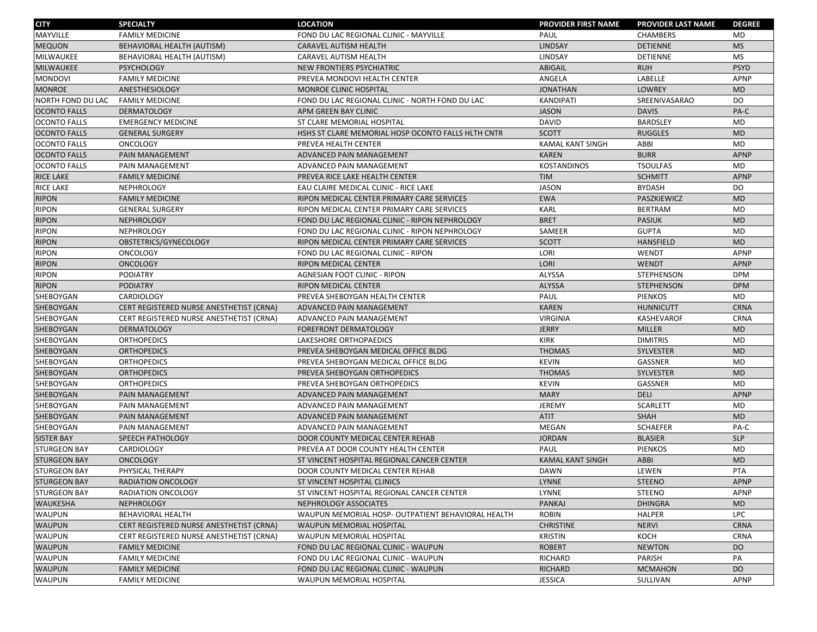| <b>CITY</b>         | <b>SPECIALTY</b>                         | <b>LOCATION</b>                                    | <b>PROVIDER FIRST NAME</b> | <b>PROVIDER LAST NAME</b> | <b>DEGREE</b>  |
|---------------------|------------------------------------------|----------------------------------------------------|----------------------------|---------------------------|----------------|
| MAYVILLE            | <b>FAMILY MEDICINE</b>                   | FOND DU LAC REGIONAL CLINIC - MAYVILLE             | <b>PAUL</b>                | <b>CHAMBERS</b>           | <b>MD</b>      |
| <b>MEQUON</b>       | BEHAVIORAL HEALTH (AUTISM)               | CARAVEL AUTISM HEALTH                              | LINDSAY                    | <b>DETIENNE</b>           | <b>MS</b>      |
| <b>MILWAUKEE</b>    | BEHAVIORAL HEALTH (AUTISM)               | CARAVEL AUTISM HEALTH                              | LINDSAY                    | DETIENNE                  | <b>MS</b>      |
| <b>MILWAUKEE</b>    | <b>PSYCHOLOGY</b>                        | NEW FRONTIERS PSYCHIATRIC                          | <b>ABIGAIL</b>             | <b>RUH</b>                | <b>PSYD</b>    |
| <b>MONDOVI</b>      | <b>FAMILY MEDICINE</b>                   | PREVEA MONDOVI HEALTH CENTER                       | ANGELA                     | LABELLE                   | <b>APNP</b>    |
| <b>MONROE</b>       | ANESTHESIOLOGY                           | MONROE CLINIC HOSPITAL                             | <b>JONATHAN</b>            | <b>LOWREY</b>             | <b>MD</b>      |
| NORTH FOND DU LAC   | <b>FAMILY MEDICINE</b>                   | FOND DU LAC REGIONAL CLINIC - NORTH FOND DU LAC    | KANDIPATI                  | SREENIVASARAO             | DO             |
| <b>OCONTO FALLS</b> | <b>DERMATOLOGY</b>                       | APM GREEN BAY CLINIC                               | <b>JASON</b>               | <b>DAVIS</b>              | PA-C           |
| <b>OCONTO FALLS</b> | <b>EMERGENCY MEDICINE</b>                | ST CLARE MEMORIAL HOSPITAL                         | <b>DAVID</b>               | <b>BARDSLEY</b>           | MD             |
| <b>OCONTO FALLS</b> | <b>GENERAL SURGERY</b>                   | HSHS ST CLARE MEMORIAL HOSP OCONTO FALLS HLTH CNTR | <b>SCOTT</b>               | <b>RUGGLES</b>            | <b>MD</b>      |
| <b>OCONTO FALLS</b> | <b>ONCOLOGY</b>                          | PREVEA HEALTH CENTER                               | <b>KAMAL KANT SINGH</b>    | ABBI                      | <b>MD</b>      |
| <b>OCONTO FALLS</b> | PAIN MANAGEMENT                          | ADVANCED PAIN MANAGEMENT                           | <b>KAREN</b>               | <b>BURR</b>               | APNP           |
| <b>OCONTO FALLS</b> | PAIN MANAGEMENT                          | ADVANCED PAIN MANAGEMENT                           | <b>KOSTANDINOS</b>         | <b>TSOULFAS</b>           | MD             |
| <b>RICE LAKE</b>    | <b>FAMILY MEDICINE</b>                   | PREVEA RICE LAKE HEALTH CENTER                     | <b>TIM</b>                 | <b>SCHMITT</b>            | <b>APNP</b>    |
| RICE LAKE           | <b>NEPHROLOGY</b>                        | EAU CLAIRE MEDICAL CLINIC - RICE LAKE              | <b>JASON</b>               | <b>BYDASH</b>             | DO             |
| <b>RIPON</b>        | <b>FAMILY MEDICINE</b>                   | RIPON MEDICAL CENTER PRIMARY CARE SERVICES         | <b>EWA</b>                 | PASZKIEWICZ               | <b>MD</b>      |
| <b>RIPON</b>        | <b>GENERAL SURGERY</b>                   | RIPON MEDICAL CENTER PRIMARY CARE SERVICES         | <b>KARL</b>                | <b>BERTRAM</b>            | <b>MD</b>      |
| <b>RIPON</b>        | <b>NEPHROLOGY</b>                        | FOND DU LAC REGIONAL CLINIC - RIPON NEPHROLOGY     | <b>BRET</b>                | <b>PASIUK</b>             | <b>MD</b>      |
| <b>RIPON</b>        | <b>NEPHROLOGY</b>                        | FOND DU LAC REGIONAL CLINIC - RIPON NEPHROLOGY     | SAMEER                     | <b>GUPTA</b>              | <b>MD</b>      |
| <b>RIPON</b>        | OBSTETRICS/GYNECOLOGY                    | RIPON MEDICAL CENTER PRIMARY CARE SERVICES         | <b>SCOTT</b>               | <b>HANSFIELD</b>          | <b>MD</b>      |
| <b>RIPON</b>        | <b>ONCOLOGY</b>                          | FOND DU LAC REGIONAL CLINIC - RIPON                | LORI                       | WENDT                     | APNP           |
| <b>RIPON</b>        | <b>ONCOLOGY</b>                          | <b>RIPON MEDICAL CENTER</b>                        | LORI                       | <b>WENDT</b>              | APNP           |
| <b>RIPON</b>        | <b>PODIATRY</b>                          | AGNESIAN FOOT CLINIC - RIPON                       | ALYSSA                     | <b>STEPHENSON</b>         | <b>DPM</b>     |
| <b>RIPON</b>        | <b>PODIATRY</b>                          | <b>RIPON MEDICAL CENTER</b>                        | <b>ALYSSA</b>              | <b>STEPHENSON</b>         | <b>DPM</b>     |
| SHEBOYGAN           | CARDIOLOGY                               | PREVEA SHEBOYGAN HEALTH CENTER                     | PAUL                       | <b>PIENKOS</b>            | <b>MD</b>      |
| SHEBOYGAN           | CERT REGISTERED NURSE ANESTHETIST (CRNA) | ADVANCED PAIN MANAGEMENT                           | <b>KAREN</b>               | <b>HUNNICUTT</b>          | <b>CRNA</b>    |
| SHEBOYGAN           | CERT REGISTERED NURSE ANESTHETIST (CRNA) | ADVANCED PAIN MANAGEMENT                           | <b>VIRGINIA</b>            | <b>KASHEVAROF</b>         | <b>CRNA</b>    |
| SHEBOYGAN           | <b>DERMATOLOGY</b>                       | <b>FOREFRONT DERMATOLOGY</b>                       | <b>JERRY</b>               | <b>MILLER</b>             | <b>MD</b>      |
| SHEBOYGAN           | <b>ORTHOPEDICS</b>                       | LAKESHORE ORTHOPAEDICS                             | <b>KIRK</b>                | <b>DIMITRIS</b>           | <b>MD</b>      |
| SHEBOYGAN           | <b>ORTHOPEDICS</b>                       | PREVEA SHEBOYGAN MEDICAL OFFICE BLDG               | <b>THOMAS</b>              | SYLVESTER                 | <b>MD</b>      |
| SHEBOYGAN           | <b>ORTHOPEDICS</b>                       | PREVEA SHEBOYGAN MEDICAL OFFICE BLDG               | <b>KEVIN</b>               | GASSNER                   | MD             |
| SHEBOYGAN           | <b>ORTHOPEDICS</b>                       | PREVEA SHEBOYGAN ORTHOPEDICS                       | <b>THOMAS</b>              | <b>SYLVESTER</b>          | <b>MD</b>      |
| SHEBOYGAN           | <b>ORTHOPEDICS</b>                       | PREVEA SHEBOYGAN ORTHOPEDICS                       | <b>KEVIN</b>               | GASSNER                   | <b>MD</b>      |
| SHEBOYGAN           | PAIN MANAGEMENT                          | ADVANCED PAIN MANAGEMENT                           | <b>MARY</b>                | <b>DELI</b>               | <b>APNP</b>    |
| SHEBOYGAN           | PAIN MANAGEMENT                          | ADVANCED PAIN MANAGEMENT                           | JEREMY                     | <b>SCARLETT</b>           | <b>MD</b>      |
| SHEBOYGAN           | PAIN MANAGEMENT                          | ADVANCED PAIN MANAGEMENT                           | <b>ATIT</b>                | <b>SHAH</b>               | <b>MD</b>      |
| SHEBOYGAN           | PAIN MANAGEMENT                          | ADVANCED PAIN MANAGEMENT                           | MEGAN                      | <b>SCHAEFER</b>           | PA-C           |
| <b>SISTER BAY</b>   | SPEECH PATHOLOGY                         | DOOR COUNTY MEDICAL CENTER REHAB                   | <b>JORDAN</b>              | <b>BLASIER</b>            | <b>SLP</b>     |
| <b>STURGEON BAY</b> | <b>CARDIOLOGY</b>                        | PREVEA AT DOOR COUNTY HEALTH CENTER                | PAUL                       | <b>PIENKOS</b>            | <b>MD</b>      |
| <b>STURGEON BAY</b> | <b>ONCOLOGY</b>                          | ST VINCENT HOSPITAL REGIONAL CANCER CENTER         | <b>KAMAL KANT SINGH</b>    | ABBI                      | <b>MD</b>      |
| <b>STURGEON BAY</b> | PHYSICAL THERAPY                         | DOOR COUNTY MEDICAL CENTER REHAB                   | <b>DAWN</b>                | LEWEN                     | PTA            |
| <b>STURGEON BAY</b> | RADIATION ONCOLOGY                       | ST VINCENT HOSPITAL CLINICS                        | LYNNE                      | STEENO                    | APNP           |
| <b>STURGEON BAY</b> | <b>RADIATION ONCOLOGY</b>                | ST VINCENT HOSPITAL REGIONAL CANCER CENTER         | LYNNE                      | STEENO                    | APNP           |
| <b>WAUKESHA</b>     | <b>NEPHROLOGY</b>                        | NEPHROLOGY ASSOCIATES                              | PANKAJ                     | <b>DHINGRA</b>            | M <sub>D</sub> |
| <b>WAUPUN</b>       | <b>BEHAVIORAL HEALTH</b>                 | WAUPUN MEMORIAL HOSP- OUTPATIENT BEHAVIORAL HEALTH | <b>ROBIN</b>               | <b>HALPER</b>             | <b>LPC</b>     |
| <b>WAUPUN</b>       | CERT REGISTERED NURSE ANESTHETIST (CRNA) | WAUPUN MEMORIAL HOSPITAL                           | <b>CHRISTINE</b>           | <b>NERVI</b>              | <b>CRNA</b>    |
| <b>WAUPUN</b>       | CERT REGISTERED NURSE ANESTHETIST (CRNA) | WAUPUN MEMORIAL HOSPITAL                           | <b>KRISTIN</b>             | KOCH                      | <b>CRNA</b>    |
| <b>WAUPUN</b>       | <b>FAMILY MEDICINE</b>                   | FOND DU LAC REGIONAL CLINIC - WAUPUN               | <b>ROBERT</b>              | <b>NEWTON</b>             | DO             |
| <b>WAUPUN</b>       | <b>FAMILY MEDICINE</b>                   | FOND DU LAC REGIONAL CLINIC - WAUPUN               | RICHARD                    | PARISH                    | PA             |
| <b>WAUPUN</b>       | <b>FAMILY MEDICINE</b>                   | FOND DU LAC REGIONAL CLINIC - WAUPUN               | <b>RICHARD</b>             | <b>MCMAHON</b>            | <b>DO</b>      |
| <b>WAUPUN</b>       | <b>FAMILY MEDICINE</b>                   | WAUPUN MEMORIAL HOSPITAL                           | JESSICA                    | SULLIVAN                  | APNP           |
|                     |                                          |                                                    |                            |                           |                |